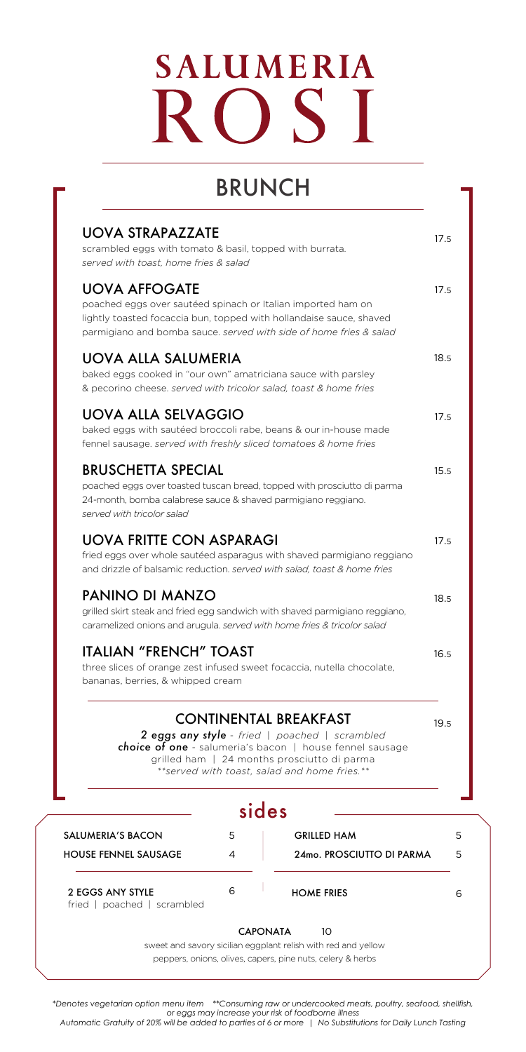# **SALUMERIA** R  $OSI$

### BRUNCH

| <b>UOVA STRAPAZZATE</b><br>scrambled eggs with tomato & basil, topped with burrata.<br>served with toast, home fries & salad                                                                                                                      | 17.5 |
|---------------------------------------------------------------------------------------------------------------------------------------------------------------------------------------------------------------------------------------------------|------|
| <b>UOVA AFFOGATE</b><br>poached eggs over sautéed spinach or Italian imported ham on<br>lightly toasted focaccia bun, topped with hollandaise sauce, shaved<br>parmigiano and bomba sauce. served with side of home fries & salad                 | 17.5 |
| <b>UOVA ALLA SALUMERIA</b><br>baked eggs cooked in "our own" amatriciana sauce with parsley<br>& pecorino cheese, served with tricolor salad, toast & home fries                                                                                  | 18.5 |
| UOVA ALLA SELVAGGIO<br>baked eggs with sautéed broccoli rabe, beans & our in-house made<br>fennel sausage, served with freshly sliced tomatoes & home fries                                                                                       | 17.5 |
| <b>BRUSCHETTA SPECIAL</b><br>poached eggs over toasted tuscan bread, topped with prosciutto di parma<br>24-month, bomba calabrese sauce & shaved parmigiano reggiano.<br>served with tricolor salad                                               | 15.5 |
| <b>UOVA FRITTE CON ASPARAGI</b><br>fried eggs over whole sautéed asparagus with shaved parmigiano reggiano<br>and drizzle of balsamic reduction. served with salad, toast & home fries                                                            | 17.5 |
| PANINO DI MANZO<br>grilled skirt steak and fried egg sandwich with shaved parmigiano reggiano,<br>caramelized onions and arugula, served with home fries & tricolor salad                                                                         | 18.5 |
| <b>ITALIAN "FRENCH" TOAST</b><br>three slices of orange zest infused sweet focaccia, nutella chocolate,<br>bananas, berries, & whipped cream                                                                                                      | 16.5 |
| <b>CONTINENTAL BREAKFAST</b><br>2 eggs any style - fried   poached   scrambled<br><b>choice of one</b> - salumeria's bacon   house fennel sausage<br>grilled ham   24 months prosciutto di parma<br>**served with toast, salad and home fries, ** | 19.5 |
| cidac                                                                                                                                                                                                                                             |      |

|                                                 |   | sides                                                         |   |
|-------------------------------------------------|---|---------------------------------------------------------------|---|
| <b>SALUMERIA'S BACON</b>                        | 5 | <b>GRILLED HAM</b>                                            | 5 |
| <b>HOUSE FENNEL SAUSAGE</b>                     | 4 | 24mo, PROSCIUTTO DI PARMA                                     | 5 |
| 2 EGGS ANY STYLE<br>fried   poached   scrambled | 6 | <b>HOME FRIES</b>                                             | 6 |
|                                                 |   | <b>CAPONATA</b><br>10                                         |   |
|                                                 |   | sweet and savory sicilian eggplant relish with red and yellow |   |
|                                                 |   | peppers, onions, olives, capers, pine nuts, celery & herbs    |   |

*\*Denotes vegetarian option menu item \*\*Consuming raw or undercooked meats, poultry, seafood, shellfish, or eggs may increase your risk of foodborne illness Automatic Gratuity of 20% will be added to parties of 6 or more | No Substitutions for Daily Lunch Tasting*